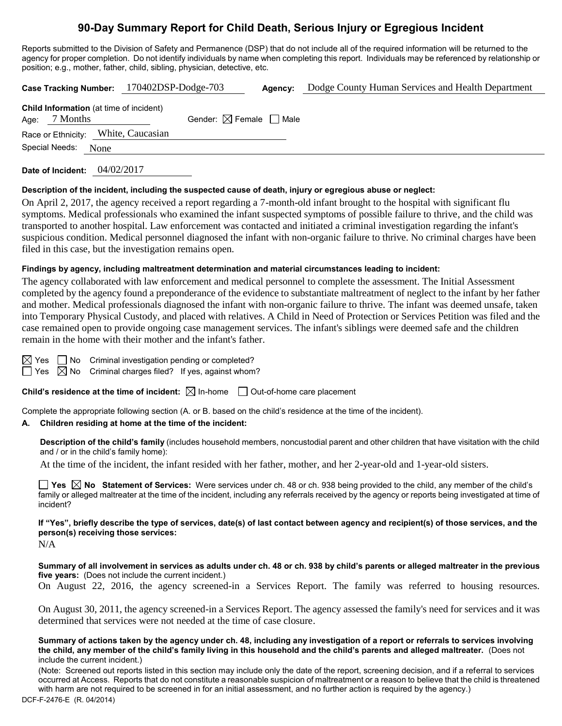# **90-Day Summary Report for Child Death, Serious Injury or Egregious Incident**

Reports submitted to the Division of Safety and Permanence (DSP) that do not include all of the required information will be returned to the agency for proper completion. Do not identify individuals by name when completing this report. Individuals may be referenced by relationship or position; e.g., mother, father, child, sibling, physician, detective, etc.

|                                                                   | Case Tracking Number: 170402DSP-Dodge-703 | Agency: | Dodge County Human Services and Health Department |  |  |
|-------------------------------------------------------------------|-------------------------------------------|---------|---------------------------------------------------|--|--|
| <b>Child Information</b> (at time of incident)<br>Age: $7$ Months | Gender: $\boxtimes$ Female $\Box$ Male    |         |                                                   |  |  |
| Race or Ethnicity: White, Caucasian                               |                                           |         |                                                   |  |  |
| Special Needs:<br>None                                            |                                           |         |                                                   |  |  |
|                                                                   |                                           |         |                                                   |  |  |

**Date of Incident:** 04/02/2017

#### **Description of the incident, including the suspected cause of death, injury or egregious abuse or neglect:**

On April 2, 2017, the agency received a report regarding a 7-month-old infant brought to the hospital with significant flu symptoms. Medical professionals who examined the infant suspected symptoms of possible failure to thrive, and the child was transported to another hospital. Law enforcement was contacted and initiated a criminal investigation regarding the infant's suspicious condition. Medical personnel diagnosed the infant with non-organic failure to thrive. No criminal charges have been filed in this case, but the investigation remains open.

#### **Findings by agency, including maltreatment determination and material circumstances leading to incident:**

The agency collaborated with law enforcement and medical personnel to complete the assessment. The Initial Assessment completed by the agency found a preponderance of the evidence to substantiate maltreatment of neglect to the infant by her father and mother. Medical professionals diagnosed the infant with non-organic failure to thrive. The infant was deemed unsafe, taken into Temporary Physical Custody, and placed with relatives. A Child in Need of Protection or Services Petition was filed and the case remained open to provide ongoing case management services. The infant's siblings were deemed safe and the children remain in the home with their mother and the infant's father.

 $\boxtimes$  Yes  $\Box$  No Criminal investigation pending or completed?

 $\Box$  Yes  $\boxtimes$  No Criminal charges filed? If yes, against whom?

**Child's residence at the time of incident:**  $\boxtimes$  In-home  $\Box$  Out-of-home care placement

Complete the appropriate following section (A. or B. based on the child's residence at the time of the incident).

# **A. Children residing at home at the time of the incident:**

**Description of the child's family** (includes household members, noncustodial parent and other children that have visitation with the child and / or in the child's family home):

At the time of the incident, the infant resided with her father, mother, and her 2-year-old and 1-year-old sisters.

**Yes No Statement of Services:** Were services under ch. 48 or ch. 938 being provided to the child, any member of the child's family or alleged maltreater at the time of the incident, including any referrals received by the agency or reports being investigated at time of incident?

**If "Yes", briefly describe the type of services, date(s) of last contact between agency and recipient(s) of those services, and the person(s) receiving those services:**

N/A

**Summary of all involvement in services as adults under ch. 48 or ch. 938 by child's parents or alleged maltreater in the previous five years:** (Does not include the current incident.)

On August 22, 2016, the agency screened-in a Services Report. The family was referred to housing resources.

On August 30, 2011, the agency screened-in a Services Report. The agency assessed the family's need for services and it was determined that services were not needed at the time of case closure.

**Summary of actions taken by the agency under ch. 48, including any investigation of a report or referrals to services involving the child, any member of the child's family living in this household and the child's parents and alleged maltreater.** (Does not include the current incident.)

(Note: Screened out reports listed in this section may include only the date of the report, screening decision, and if a referral to services occurred at Access. Reports that do not constitute a reasonable suspicion of maltreatment or a reason to believe that the child is threatened with harm are not required to be screened in for an initial assessment, and no further action is required by the agency.)